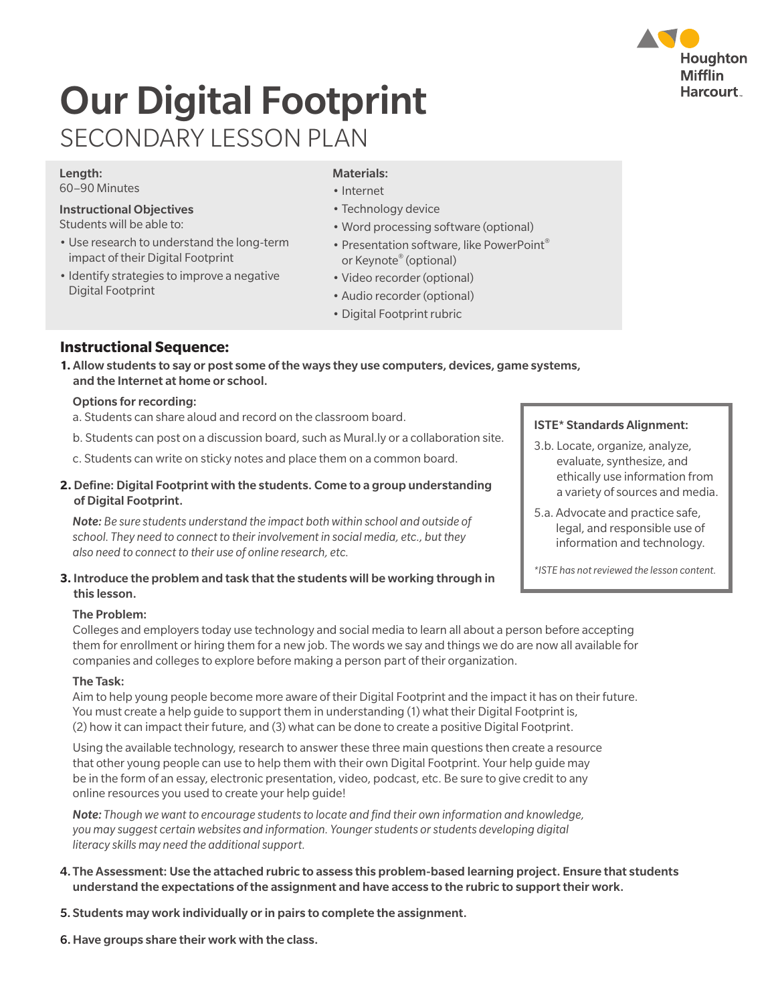## Houghton **Mifflin Harcourt**

# Our Digital Footprint SECONDARY LESSON PLAN

#### Length:

60–90 Minutes

#### Instructional Objectives

- Students will be able to:
- Use research to understand the long-term impact of their Digital Footprint
- Identify strategies to improve a negative Digital Footprint

#### Materials:

- Internet
- Technology device
- Word processing software (optional)
- Presentation software, like PowerPoint® or Keynote® (optional)
- Video recorder (optional)
- Audio recorder (optional)
- Digital Footprint rubric

#### **Instructional Sequence:**

**1.** Allow students to say or post some of the ways they use computers, devices, game systems, and the Internet at home or school.

#### Options for recording:

- a. Students can share aloud and record on the classroom board.
- b. Students can post on a discussion board, such as Mural.ly or a collaboration site.
- c. Students can write on sticky notes and place them on a common board.
- **2.** Define: Digital Footprint with the students. Come to a group understanding of Digital Footprint.

 *Note: Be sure students understand the impact both within school and outside of school. They need to connect to their involvement in social media, etc., but they also need to connect to their use of online research, etc.*

#### **3.** Introduce the problem and task that the students will be working through in this lesson.

#### The Problem:

Colleges and employers today use technology and social media to learn all about a person before accepting them for enrollment or hiring them for a new job. The words we say and things we do are now all available for companies and colleges to explore before making a person part of their organization.

#### The Task:

 Aim to help young people become more aware of their Digital Footprint and the impact it has on their future. You must create a help guide to support them in understanding (1) what their Digital Footprint is, (2) how it can impact their future, and (3) what can be done to create a positive Digital Footprint.

 Using the available technology, research to answer these three main questions then create a resource that other young people can use to help them with their own Digital Footprint. Your help guide may be in the form of an essay, electronic presentation, video, podcast, etc. Be sure to give credit to any online resources you used to create your help guide!

*Note: Though we want to encourage students to locate and find their own information and knowledge, you may suggest certain websites and information. Younger students or students developing digital literacy skills may need the additional support.*

- 4. The Assessment: Use the attached rubric to assess this problem-based learning project. Ensure that students understand the expectations of the assignment and have access to the rubric to support their work.
- 5. Students may work individually or in pairs to complete the assignment.
- 6.Have groups share their work with the class.

#### ISTE\* Standards Alignment:

- 3.b. Locate, organize, analyze, evaluate, synthesize, and ethically use information from a variety of sources and media.
- 5.a. Advocate and practice safe, legal, and responsible use of information and technology.

*\*ISTE has not reviewed the lesson content.*